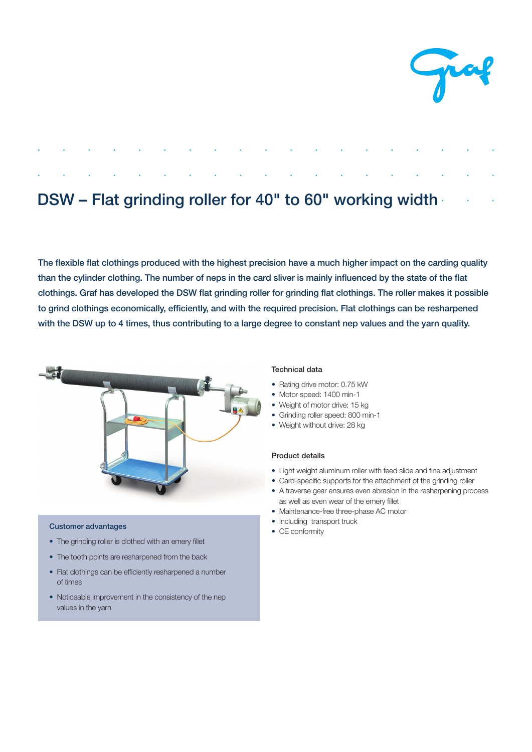

# DSW – Flat grinding roller for 40" to 60" working width

The flexible flat clothings produced with the highest precision have a much higher impact on the carding quality than the cylinder clothing. The number of neps in the card sliver is mainly influenced by the state of the flat clothings. Graf has developed the DSW flat grinding roller for grinding flat clothings. The roller makes it possible to grind clothings economically, efficiently, and with the required precision. Flat clothings can be resharpened with the DSW up to 4 times, thus contributing to a large degree to constant nep values and the yarn quality.



#### Customer advantages

- The grinding roller is clothed with an emery fillet
- The tooth points are resharpened from the back
- Flat clothings can be efficiently resharpened a number of times
- Noticeable improvement in the consistency of the nep values in the yarn

## Technical data

- Rating drive motor: 0.75 kW
- Motor speed: 1400 min-1
- Weight of motor drive: 15 kg
- Grinding roller speed: 800 min-1
- Weight without drive: 28 kg

### Product details

- Light weight aluminum roller with feed slide and fine adjustment
- Card-specific supports for the attachment of the grinding roller
- A traverse gear ensures even abrasion in the resharpening process as well as even wear of the emery fillet
- Maintenance-free three-phase AC motor
- Including transport truck
- CE conformity